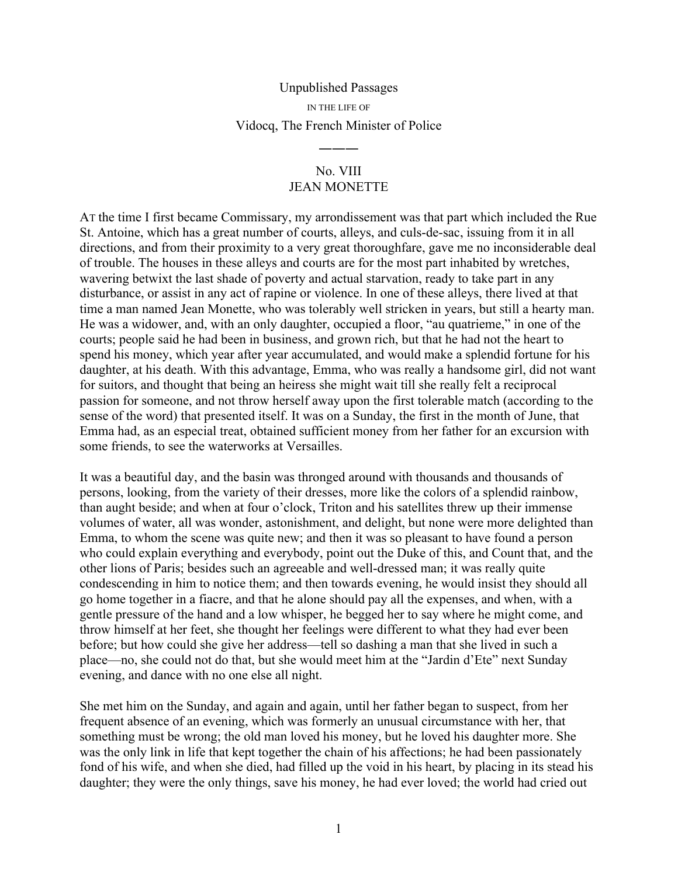## Unpublished Passages

IN THE LIFE OF

## Vidocq, The French Minister of Police

―――

## No. VIII JEAN MONETTE

AT the time I first became Commissary, my arrondissement was that part which included the Rue St. Antoine, which has a great number of courts, alleys, and culs-de-sac, issuing from it in all directions, and from their proximity to a very great thoroughfare, gave me no inconsiderable deal of trouble. The houses in these alleys and courts are for the most part inhabited by wretches, wavering betwixt the last shade of poverty and actual starvation, ready to take part in any disturbance, or assist in any act of rapine or violence. In one of these alleys, there lived at that time a man named Jean Monette, who was tolerably well stricken in years, but still a hearty man. He was a widower, and, with an only daughter, occupied a floor, "au quatrieme," in one of the courts; people said he had been in business, and grown rich, but that he had not the heart to spend his money, which year after year accumulated, and would make a splendid fortune for his daughter, at his death. With this advantage, Emma, who was really a handsome girl, did not want for suitors, and thought that being an heiress she might wait till she really felt a reciprocal passion for someone, and not throw herself away upon the first tolerable match (according to the sense of the word) that presented itself. It was on a Sunday, the first in the month of June, that Emma had, as an especial treat, obtained sufficient money from her father for an excursion with some friends, to see the waterworks at Versailles.

It was a beautiful day, and the basin was thronged around with thousands and thousands of persons, looking, from the variety of their dresses, more like the colors of a splendid rainbow, than aught beside; and when at four o'clock, Triton and his satellites threw up their immense volumes of water, all was wonder, astonishment, and delight, but none were more delighted than Emma, to whom the scene was quite new; and then it was so pleasant to have found a person who could explain everything and everybody, point out the Duke of this, and Count that, and the other lions of Paris; besides such an agreeable and well-dressed man; it was really quite condescending in him to notice them; and then towards evening, he would insist they should all go home together in a fiacre, and that he alone should pay all the expenses, and when, with a gentle pressure of the hand and a low whisper, he begged her to say where he might come, and throw himself at her feet, she thought her feelings were different to what they had ever been before; but how could she give her address—tell so dashing a man that she lived in such a place—no, she could not do that, but she would meet him at the "Jardin d'Ete" next Sunday evening, and dance with no one else all night.

She met him on the Sunday, and again and again, until her father began to suspect, from her frequent absence of an evening, which was formerly an unusual circumstance with her, that something must be wrong; the old man loved his money, but he loved his daughter more. She was the only link in life that kept together the chain of his affections; he had been passionately fond of his wife, and when she died, had filled up the void in his heart, by placing in its stead his daughter; they were the only things, save his money, he had ever loved; the world had cried out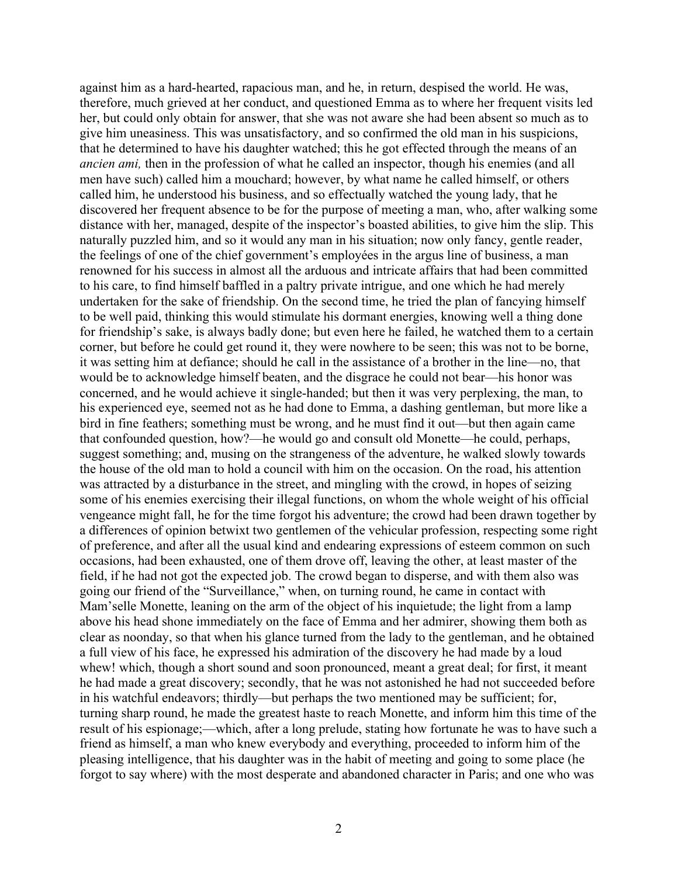against him as a hard-hearted, rapacious man, and he, in return, despised the world. He was, therefore, much grieved at her conduct, and questioned Emma as to where her frequent visits led her, but could only obtain for answer, that she was not aware she had been absent so much as to give him uneasiness. This was unsatisfactory, and so confirmed the old man in his suspicions, that he determined to have his daughter watched; this he got effected through the means of an *ancien ami,* then in the profession of what he called an inspector, though his enemies (and all men have such) called him a mouchard; however, by what name he called himself, or others called him, he understood his business, and so effectually watched the young lady, that he discovered her frequent absence to be for the purpose of meeting a man, who, after walking some distance with her, managed, despite of the inspector's boasted abilities, to give him the slip. This naturally puzzled him, and so it would any man in his situation; now only fancy, gentle reader, the feelings of one of the chief government's employées in the argus line of business, a man renowned for his success in almost all the arduous and intricate affairs that had been committed to his care, to find himself baffled in a paltry private intrigue, and one which he had merely undertaken for the sake of friendship. On the second time, he tried the plan of fancying himself to be well paid, thinking this would stimulate his dormant energies, knowing well a thing done for friendship's sake, is always badly done; but even here he failed, he watched them to a certain corner, but before he could get round it, they were nowhere to be seen; this was not to be borne, it was setting him at defiance; should he call in the assistance of a brother in the line—no, that would be to acknowledge himself beaten, and the disgrace he could not bear—his honor was concerned, and he would achieve it single-handed; but then it was very perplexing, the man, to his experienced eye, seemed not as he had done to Emma, a dashing gentleman, but more like a bird in fine feathers; something must be wrong, and he must find it out—but then again came that confounded question, how?—he would go and consult old Monette—he could, perhaps, suggest something; and, musing on the strangeness of the adventure, he walked slowly towards the house of the old man to hold a council with him on the occasion. On the road, his attention was attracted by a disturbance in the street, and mingling with the crowd, in hopes of seizing some of his enemies exercising their illegal functions, on whom the whole weight of his official vengeance might fall, he for the time forgot his adventure; the crowd had been drawn together by a differences of opinion betwixt two gentlemen of the vehicular profession, respecting some right of preference, and after all the usual kind and endearing expressions of esteem common on such occasions, had been exhausted, one of them drove off, leaving the other, at least master of the field, if he had not got the expected job. The crowd began to disperse, and with them also was going our friend of the "Surveillance," when, on turning round, he came in contact with Mam'selle Monette, leaning on the arm of the object of his inquietude; the light from a lamp above his head shone immediately on the face of Emma and her admirer, showing them both as clear as noonday, so that when his glance turned from the lady to the gentleman, and he obtained a full view of his face, he expressed his admiration of the discovery he had made by a loud whew! which, though a short sound and soon pronounced, meant a great deal; for first, it meant he had made a great discovery; secondly, that he was not astonished he had not succeeded before in his watchful endeavors; thirdly—but perhaps the two mentioned may be sufficient; for, turning sharp round, he made the greatest haste to reach Monette, and inform him this time of the result of his espionage;—which, after a long prelude, stating how fortunate he was to have such a friend as himself, a man who knew everybody and everything, proceeded to inform him of the pleasing intelligence, that his daughter was in the habit of meeting and going to some place (he forgot to say where) with the most desperate and abandoned character in Paris; and one who was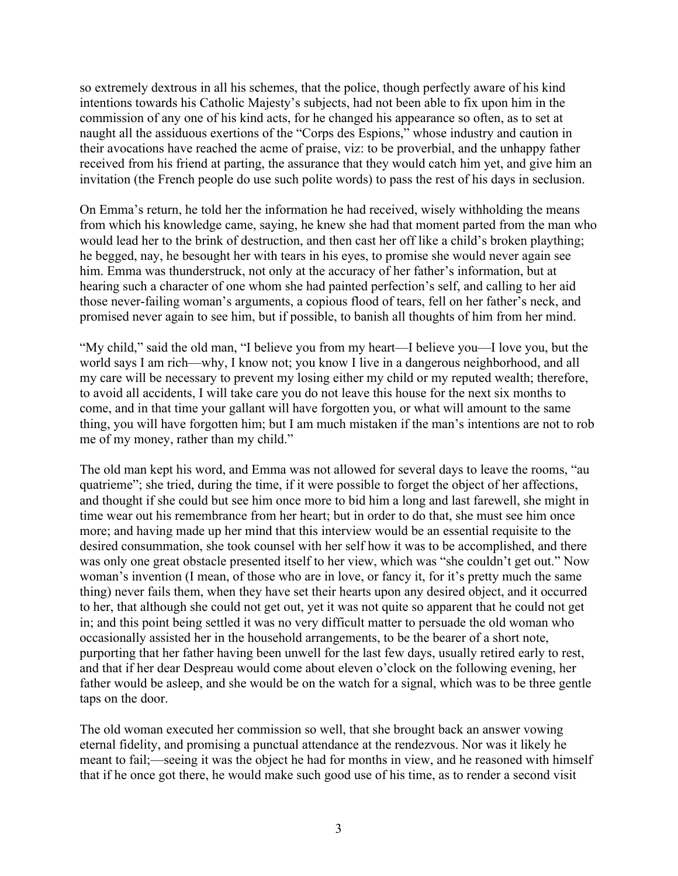so extremely dextrous in all his schemes, that the police, though perfectly aware of his kind intentions towards his Catholic Majesty's subjects, had not been able to fix upon him in the commission of any one of his kind acts, for he changed his appearance so often, as to set at naught all the assiduous exertions of the "Corps des Espions," whose industry and caution in their avocations have reached the acme of praise, viz: to be proverbial, and the unhappy father received from his friend at parting, the assurance that they would catch him yet, and give him an invitation (the French people do use such polite words) to pass the rest of his days in seclusion.

On Emma's return, he told her the information he had received, wisely withholding the means from which his knowledge came, saying, he knew she had that moment parted from the man who would lead her to the brink of destruction, and then cast her off like a child's broken plaything; he begged, nay, he besought her with tears in his eyes, to promise she would never again see him. Emma was thunderstruck, not only at the accuracy of her father's information, but at hearing such a character of one whom she had painted perfection's self, and calling to her aid those never-failing woman's arguments, a copious flood of tears, fell on her father's neck, and promised never again to see him, but if possible, to banish all thoughts of him from her mind.

"My child," said the old man, "I believe you from my heart—I believe you—I love you, but the world says I am rich—why, I know not; you know I live in a dangerous neighborhood, and all my care will be necessary to prevent my losing either my child or my reputed wealth; therefore, to avoid all accidents, I will take care you do not leave this house for the next six months to come, and in that time your gallant will have forgotten you, or what will amount to the same thing, you will have forgotten him; but I am much mistaken if the man's intentions are not to rob me of my money, rather than my child."

The old man kept his word, and Emma was not allowed for several days to leave the rooms, "au quatrieme"; she tried, during the time, if it were possible to forget the object of her affections, and thought if she could but see him once more to bid him a long and last farewell, she might in time wear out his remembrance from her heart; but in order to do that, she must see him once more; and having made up her mind that this interview would be an essential requisite to the desired consummation, she took counsel with her self how it was to be accomplished, and there was only one great obstacle presented itself to her view, which was "she couldn't get out." Now woman's invention (I mean, of those who are in love, or fancy it, for it's pretty much the same thing) never fails them, when they have set their hearts upon any desired object, and it occurred to her, that although she could not get out, yet it was not quite so apparent that he could not get in; and this point being settled it was no very difficult matter to persuade the old woman who occasionally assisted her in the household arrangements, to be the bearer of a short note, purporting that her father having been unwell for the last few days, usually retired early to rest, and that if her dear Despreau would come about eleven o'clock on the following evening, her father would be asleep, and she would be on the watch for a signal, which was to be three gentle taps on the door.

The old woman executed her commission so well, that she brought back an answer vowing eternal fidelity, and promising a punctual attendance at the rendezvous. Nor was it likely he meant to fail;—seeing it was the object he had for months in view, and he reasoned with himself that if he once got there, he would make such good use of his time, as to render a second visit